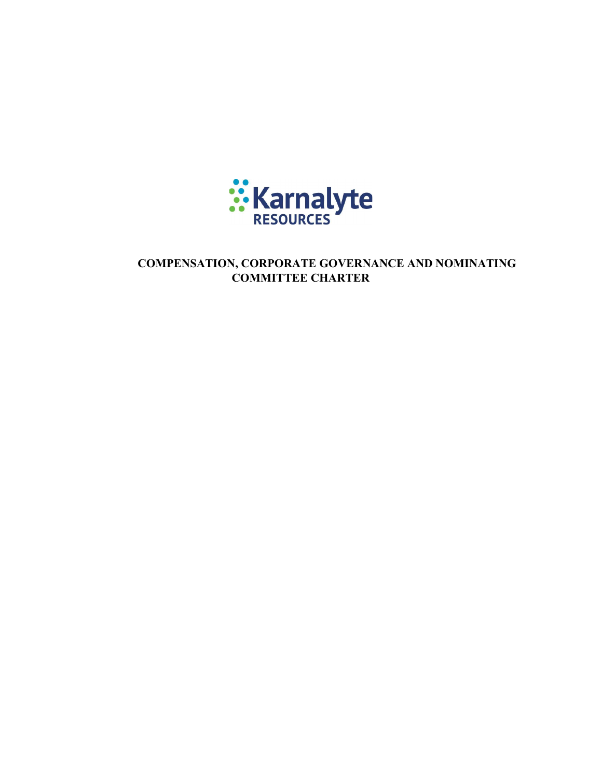

COMPENSATION, CORPORATE GOVERNANCE AND NOMINATING COMMITTEE CHARTER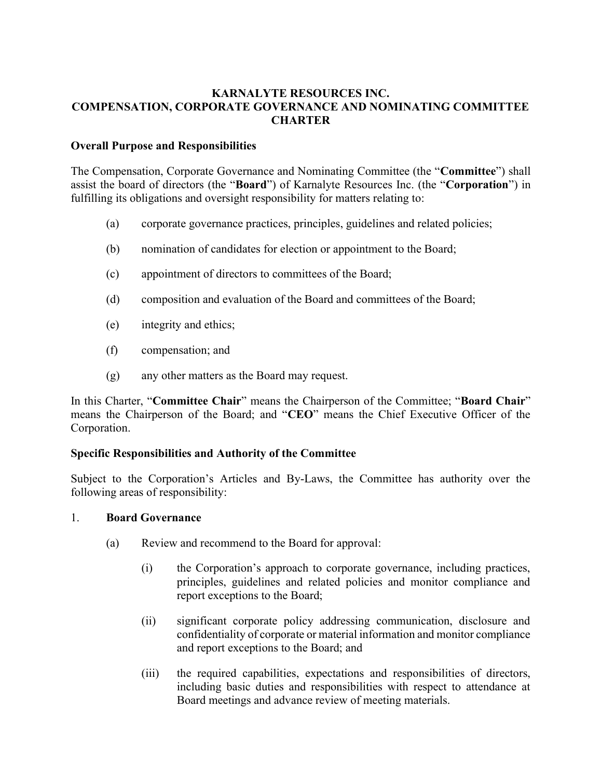## KARNALYTE RESOURCES INC. COMPENSATION, CORPORATE GOVERNANCE AND NOMINATING COMMITTEE **CHARTER**

### Overall Purpose and Responsibilities

The Compensation, Corporate Governance and Nominating Committee (the "Committee") shall assist the board of directors (the "Board") of Karnalyte Resources Inc. (the "Corporation") in fulfilling its obligations and oversight responsibility for matters relating to:

- (a) corporate governance practices, principles, guidelines and related policies;
- (b) nomination of candidates for election or appointment to the Board;
- (c) appointment of directors to committees of the Board;
- (d) composition and evaluation of the Board and committees of the Board;
- (e) integrity and ethics;
- (f) compensation; and
- (g) any other matters as the Board may request.

In this Charter, "Committee Chair" means the Chairperson of the Committee; "Board Chair" means the Chairperson of the Board; and "CEO" means the Chief Executive Officer of the Corporation.

### Specific Responsibilities and Authority of the Committee

Subject to the Corporation's Articles and By-Laws, the Committee has authority over the following areas of responsibility:

### 1. Board Governance

- (a) Review and recommend to the Board for approval:
	- (i) the Corporation's approach to corporate governance, including practices, principles, guidelines and related policies and monitor compliance and report exceptions to the Board;
	- (ii) significant corporate policy addressing communication, disclosure and confidentiality of corporate or material information and monitor compliance and report exceptions to the Board; and
	- (iii) the required capabilities, expectations and responsibilities of directors, including basic duties and responsibilities with respect to attendance at Board meetings and advance review of meeting materials.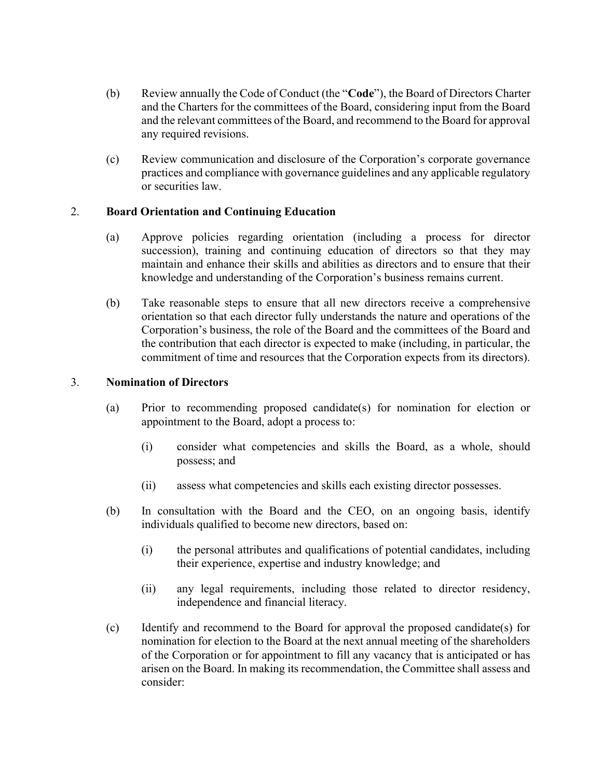- (b) Review annually the Code of Conduct (the "Code"), the Board of Directors Charter and the Charters for the committees of the Board, considering input from the Board and the relevant committees of the Board, and recommend to the Board for approval any required revisions.
- (c) Review communication and disclosure of the Corporation's corporate governance practices and compliance with governance guidelines and any applicable regulatory or securities law.

# 2. Board Orientation and Continuing Education

- (a) Approve policies regarding orientation (including a process for director succession), training and continuing education of directors so that they may maintain and enhance their skills and abilities as directors and to ensure that their knowledge and understanding of the Corporation's business remains current.
- (b) Take reasonable steps to ensure that all new directors receive a comprehensive orientation so that each director fully understands the nature and operations of the Corporation's business, the role of the Board and the committees of the Board and the contribution that each director is expected to make (including, in particular, the commitment of time and resources that the Corporation expects from its directors).

## 3. Nomination of Directors

- (a) Prior to recommending proposed candidate(s) for nomination for election or appointment to the Board, adopt a process to:
	- (i) consider what competencies and skills the Board, as a whole, should possess; and
	- (ii) assess what competencies and skills each existing director possesses.
- (b) In consultation with the Board and the CEO, on an ongoing basis, identify individuals qualified to become new directors, based on:
	- (i) the personal attributes and qualifications of potential candidates, including their experience, expertise and industry knowledge; and
	- (ii) any legal requirements, including those related to director residency, independence and financial literacy.
- (c) Identify and recommend to the Board for approval the proposed candidate(s) for nomination for election to the Board at the next annual meeting of the shareholders of the Corporation or for appointment to fill any vacancy that is anticipated or has arisen on the Board. In making its recommendation, the Committee shall assess and consider: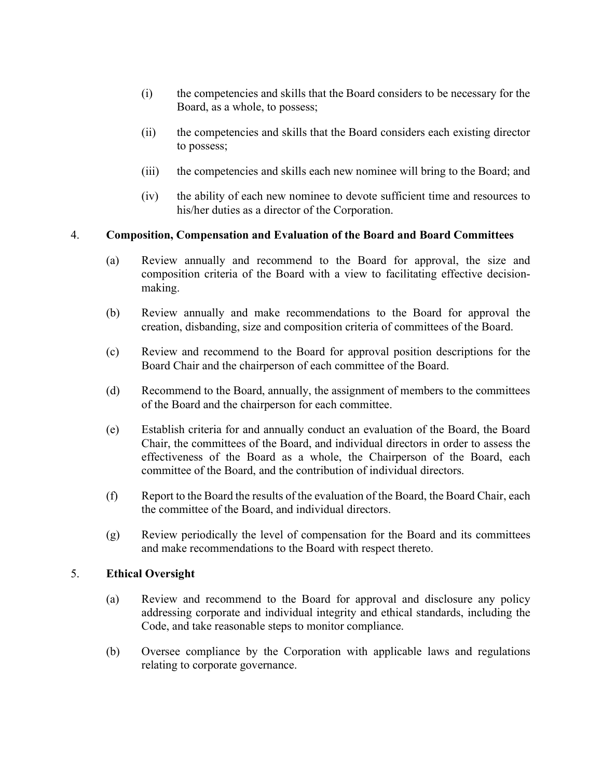- (i) the competencies and skills that the Board considers to be necessary for the Board, as a whole, to possess;
- (ii) the competencies and skills that the Board considers each existing director to possess;
- (iii) the competencies and skills each new nominee will bring to the Board; and
- (iv) the ability of each new nominee to devote sufficient time and resources to his/her duties as a director of the Corporation.

## 4. Composition, Compensation and Evaluation of the Board and Board Committees

- (a) Review annually and recommend to the Board for approval, the size and composition criteria of the Board with a view to facilitating effective decisionmaking.
- (b) Review annually and make recommendations to the Board for approval the creation, disbanding, size and composition criteria of committees of the Board.
- (c) Review and recommend to the Board for approval position descriptions for the Board Chair and the chairperson of each committee of the Board.
- (d) Recommend to the Board, annually, the assignment of members to the committees of the Board and the chairperson for each committee.
- (e) Establish criteria for and annually conduct an evaluation of the Board, the Board Chair, the committees of the Board, and individual directors in order to assess the effectiveness of the Board as a whole, the Chairperson of the Board, each committee of the Board, and the contribution of individual directors.
- (f) Report to the Board the results of the evaluation of the Board, the Board Chair, each the committee of the Board, and individual directors.
- (g) Review periodically the level of compensation for the Board and its committees and make recommendations to the Board with respect thereto.

### 5. Ethical Oversight

- (a) Review and recommend to the Board for approval and disclosure any policy addressing corporate and individual integrity and ethical standards, including the Code, and take reasonable steps to monitor compliance.
- (b) Oversee compliance by the Corporation with applicable laws and regulations relating to corporate governance.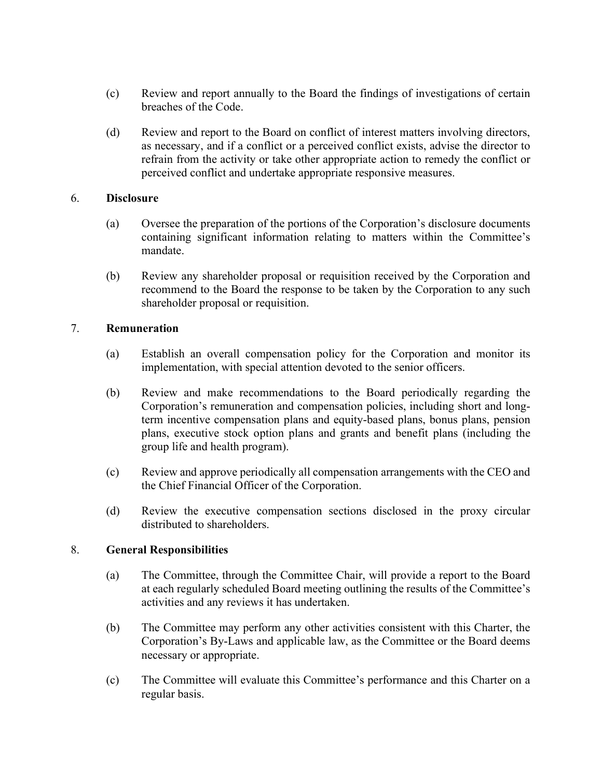- (c) Review and report annually to the Board the findings of investigations of certain breaches of the Code.
- (d) Review and report to the Board on conflict of interest matters involving directors, as necessary, and if a conflict or a perceived conflict exists, advise the director to refrain from the activity or take other appropriate action to remedy the conflict or perceived conflict and undertake appropriate responsive measures.

#### 6. Disclosure

- (a) Oversee the preparation of the portions of the Corporation's disclosure documents containing significant information relating to matters within the Committee's mandate.
- (b) Review any shareholder proposal or requisition received by the Corporation and recommend to the Board the response to be taken by the Corporation to any such shareholder proposal or requisition.

#### 7. Remuneration

- (a) Establish an overall compensation policy for the Corporation and monitor its implementation, with special attention devoted to the senior officers.
- (b) Review and make recommendations to the Board periodically regarding the Corporation's remuneration and compensation policies, including short and longterm incentive compensation plans and equity-based plans, bonus plans, pension plans, executive stock option plans and grants and benefit plans (including the group life and health program).
- (c) Review and approve periodically all compensation arrangements with the CEO and the Chief Financial Officer of the Corporation.
- (d) Review the executive compensation sections disclosed in the proxy circular distributed to shareholders.

### 8. General Responsibilities

- (a) The Committee, through the Committee Chair, will provide a report to the Board at each regularly scheduled Board meeting outlining the results of the Committee's activities and any reviews it has undertaken.
- (b) The Committee may perform any other activities consistent with this Charter, the Corporation's By-Laws and applicable law, as the Committee or the Board deems necessary or appropriate.
- (c) The Committee will evaluate this Committee's performance and this Charter on a regular basis.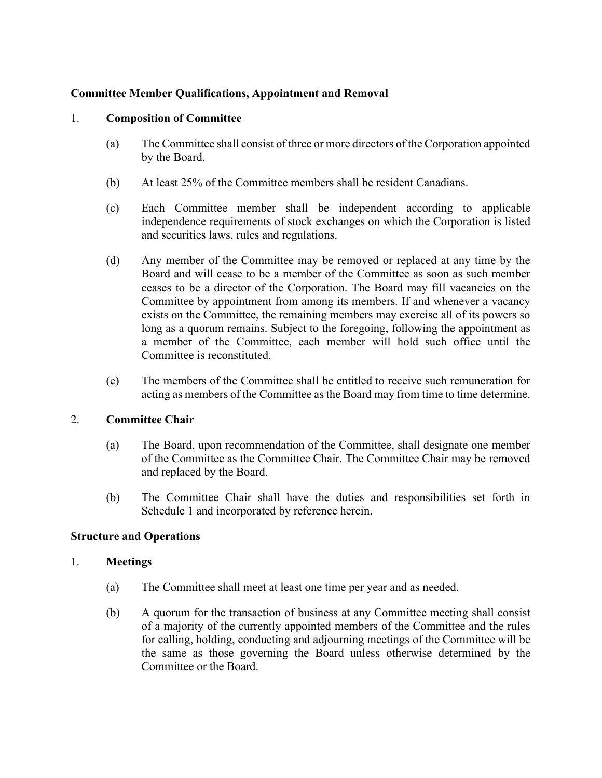## Committee Member Qualifications, Appointment and Removal

### 1. Composition of Committee

- (a) The Committee shall consist of three or more directors of the Corporation appointed by the Board.
- (b) At least 25% of the Committee members shall be resident Canadians.
- (c) Each Committee member shall be independent according to applicable independence requirements of stock exchanges on which the Corporation is listed and securities laws, rules and regulations.
- (d) Any member of the Committee may be removed or replaced at any time by the Board and will cease to be a member of the Committee as soon as such member ceases to be a director of the Corporation. The Board may fill vacancies on the Committee by appointment from among its members. If and whenever a vacancy exists on the Committee, the remaining members may exercise all of its powers so long as a quorum remains. Subject to the foregoing, following the appointment as a member of the Committee, each member will hold such office until the Committee is reconstituted.
- (e) The members of the Committee shall be entitled to receive such remuneration for acting as members of the Committee as the Board may from time to time determine.

# 2. Committee Chair

- (a) The Board, upon recommendation of the Committee, shall designate one member of the Committee as the Committee Chair. The Committee Chair may be removed and replaced by the Board.
- (b) The Committee Chair shall have the duties and responsibilities set forth in Schedule 1 and incorporated by reference herein.

### Structure and Operations

### 1. Meetings

- (a) The Committee shall meet at least one time per year and as needed.
- (b) A quorum for the transaction of business at any Committee meeting shall consist of a majority of the currently appointed members of the Committee and the rules for calling, holding, conducting and adjourning meetings of the Committee will be the same as those governing the Board unless otherwise determined by the Committee or the Board.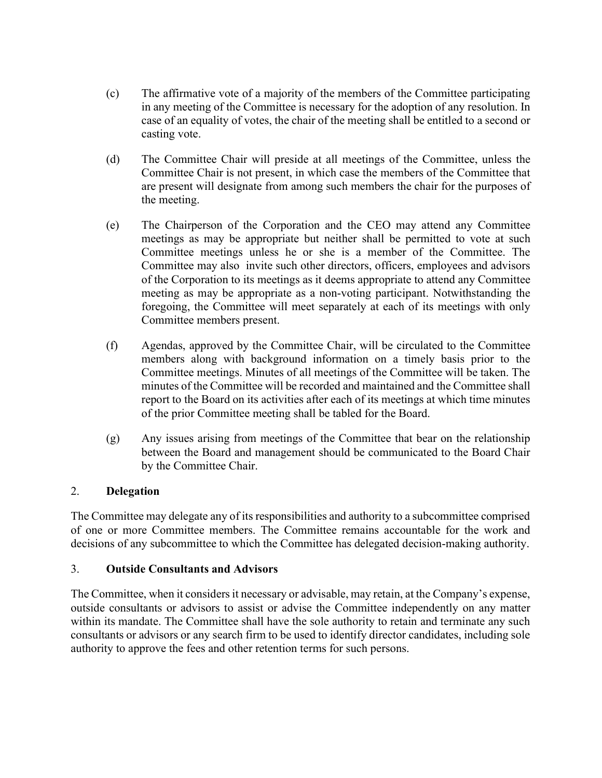- (c) The affirmative vote of a majority of the members of the Committee participating in any meeting of the Committee is necessary for the adoption of any resolution. In case of an equality of votes, the chair of the meeting shall be entitled to a second or casting vote.
- (d) The Committee Chair will preside at all meetings of the Committee, unless the Committee Chair is not present, in which case the members of the Committee that are present will designate from among such members the chair for the purposes of the meeting.
- (e) The Chairperson of the Corporation and the CEO may attend any Committee meetings as may be appropriate but neither shall be permitted to vote at such Committee meetings unless he or she is a member of the Committee. The Committee may also invite such other directors, officers, employees and advisors of the Corporation to its meetings as it deems appropriate to attend any Committee meeting as may be appropriate as a non-voting participant. Notwithstanding the foregoing, the Committee will meet separately at each of its meetings with only Committee members present.
- (f) Agendas, approved by the Committee Chair, will be circulated to the Committee members along with background information on a timely basis prior to the Committee meetings. Minutes of all meetings of the Committee will be taken. The minutes of the Committee will be recorded and maintained and the Committee shall report to the Board on its activities after each of its meetings at which time minutes of the prior Committee meeting shall be tabled for the Board.
- (g) Any issues arising from meetings of the Committee that bear on the relationship between the Board and management should be communicated to the Board Chair by the Committee Chair.

# 2. Delegation

The Committee may delegate any of its responsibilities and authority to a subcommittee comprised of one or more Committee members. The Committee remains accountable for the work and decisions of any subcommittee to which the Committee has delegated decision-making authority.

# 3. Outside Consultants and Advisors

The Committee, when it considers it necessary or advisable, may retain, at the Company's expense, outside consultants or advisors to assist or advise the Committee independently on any matter within its mandate. The Committee shall have the sole authority to retain and terminate any such consultants or advisors or any search firm to be used to identify director candidates, including sole authority to approve the fees and other retention terms for such persons.